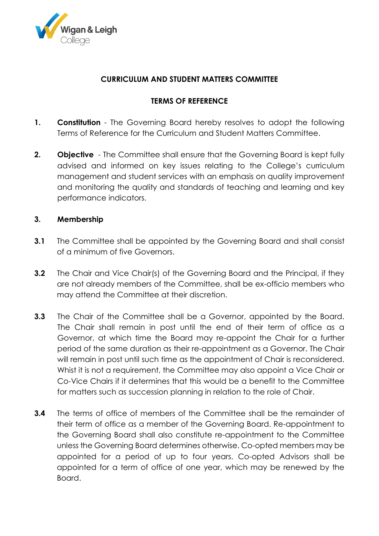

## **CURRICULUM AND STUDENT MATTERS COMMITTEE**

## **TERMS OF REFERENCE**

- **1. Constitution** The Governing Board hereby resolves to adopt the following Terms of Reference for the Curriculum and Student Matters Committee.
- **2. Objective** The Committee shall ensure that the Governing Board is kept fully advised and informed on key issues relating to the College's curriculum management and student services with an emphasis on quality improvement and monitoring the quality and standards of teaching and learning and key performance indicators.

## **3. Membership**

- **3.1** The Committee shall be appointed by the Governing Board and shall consist of a minimum of five Governors.
- **3.2** The Chair and Vice Chair(s) of the Governing Board and the Principal, if they are not already members of the Committee, shall be ex-officio members who may attend the Committee at their discretion.
- **3.3** The Chair of the Committee shall be a Governor, appointed by the Board. The Chair shall remain in post until the end of their term of office as a Governor, at which time the Board may re-appoint the Chair for a further period of the same duration as their re-appointment as a Governor. The Chair will remain in post until such time as the appointment of Chair is reconsidered. Whist it is not a requirement, the Committee may also appoint a Vice Chair or Co-Vice Chairs if it determines that this would be a benefit to the Committee for matters such as succession planning in relation to the role of Chair.
- **3.4** The terms of office of members of the Committee shall be the remainder of their term of office as a member of the Governing Board. Re-appointment to the Governing Board shall also constitute re-appointment to the Committee unless the Governing Board determines otherwise. Co-opted members may be appointed for a period of up to four years. Co-opted Advisors shall be appointed for a term of office of one year, which may be renewed by the Board.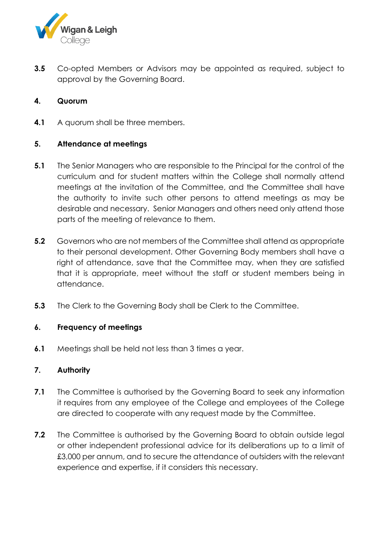

**3.5** Co-opted Members or Advisors may be appointed as required, subject to approval by the Governing Board.

## **4. Quorum**

**4.1** A quorum shall be three members.

## **5. Attendance at meetings**

- **5.1** The Senior Managers who are responsible to the Principal for the control of the curriculum and for student matters within the College shall normally attend meetings at the invitation of the Committee, and the Committee shall have the authority to invite such other persons to attend meetings as may be desirable and necessary. Senior Managers and others need only attend those parts of the meeting of relevance to them.
- **5.2** Governors who are not members of the Committee shall attend as appropriate to their personal development. Other Governing Body members shall have a right of attendance, save that the Committee may, when they are satisfied that it is appropriate, meet without the staff or student members being in attendance.
- **5.3** The Clerk to the Governing Body shall be Clerk to the Committee.

#### **6. Frequency of meetings**

**6.1** Meetings shall be held not less than 3 times a year.

#### **7. Authority**

- **7.1** The Committee is authorised by the Governing Board to seek any information it requires from any employee of the College and employees of the College are directed to cooperate with any request made by the Committee.
- **7.2** The Committee is authorised by the Governing Board to obtain outside legal or other independent professional advice for its deliberations up to a limit of £3,000 per annum, and to secure the attendance of outsiders with the relevant experience and expertise, if it considers this necessary.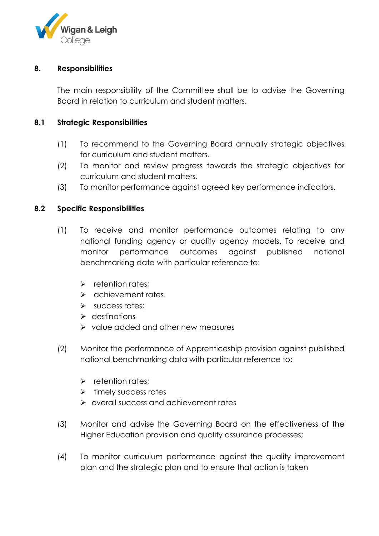

#### **8. Responsibilities**

The main responsibility of the Committee shall be to advise the Governing Board in relation to curriculum and student matters.

#### **8.1 Strategic Responsibilities**

- (1) To recommend to the Governing Board annually strategic objectives for curriculum and student matters.
- (2) To monitor and review progress towards the strategic objectives for curriculum and student matters.
- (3) To monitor performance against agreed key performance indicators.

#### **8.2 Specific Responsibilities**

- (1) To receive and monitor performance outcomes relating to any national funding agency or quality agency models. To receive and monitor performance outcomes against published national benchmarking data with particular reference to:
	- $\triangleright$  retention rates;
	- $\triangleright$  achievement rates.
	- $\triangleright$  success rates:
	- $\triangleright$  destinations
	- $\triangleright$  value added and other new measures
- (2) Monitor the performance of Apprenticeship provision against published national benchmarking data with particular reference to:
	- $\triangleright$  retention rates:
	- $\triangleright$  timely success rates
	- overall success and achievement rates
- (3) Monitor and advise the Governing Board on the effectiveness of the Higher Education provision and quality assurance processes;
- (4) To monitor curriculum performance against the quality improvement plan and the strategic plan and to ensure that action is taken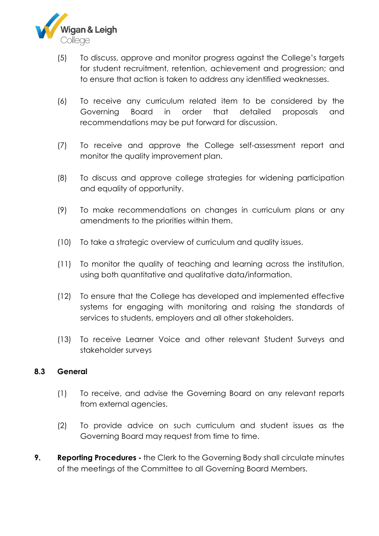

- (5) To discuss, approve and monitor progress against the College's targets for student recruitment, retention, achievement and progression; and to ensure that action is taken to address any identified weaknesses.
- (6) To receive any curriculum related item to be considered by the Governing Board in order that detailed proposals and recommendations may be put forward for discussion.
- (7) To receive and approve the College self-assessment report and monitor the quality improvement plan.
- (8) To discuss and approve college strategies for widening participation and equality of opportunity.
- (9) To make recommendations on changes in curriculum plans or any amendments to the priorities within them.
- (10) To take a strategic overview of curriculum and quality issues.
- (11) To monitor the quality of teaching and learning across the institution, using both quantitative and qualitative data/information.
- (12) To ensure that the College has developed and implemented effective systems for engaging with monitoring and raising the standards of services to students, employers and all other stakeholders.
- (13) To receive Learner Voice and other relevant Student Surveys and stakeholder surveys

#### **8.3 General**

- (1) To receive, and advise the Governing Board on any relevant reports from external agencies.
- (2) To provide advice on such curriculum and student issues as the Governing Board may request from time to time.
- **9. Reporting Procedures -** the Clerk to the Governing Body shall circulate minutes of the meetings of the Committee to all Governing Board Members.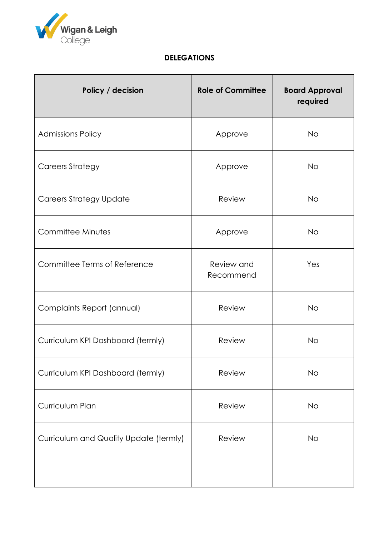

# **DELEGATIONS**

| Policy / decision                      | <b>Role of Committee</b> | <b>Board Approval</b><br>required |
|----------------------------------------|--------------------------|-----------------------------------|
| <b>Admissions Policy</b>               | Approve                  | <b>No</b>                         |
| <b>Careers Strategy</b>                | Approve                  | <b>No</b>                         |
| <b>Careers Strategy Update</b>         | Review                   | <b>No</b>                         |
| Committee Minutes                      | Approve                  | <b>No</b>                         |
| Committee Terms of Reference           | Review and<br>Recommend  | Yes                               |
| Complaints Report (annual)             | Review                   | <b>No</b>                         |
| Curriculum KPI Dashboard (termly)      | Review                   | <b>No</b>                         |
| Curriculum KPI Dashboard (termly)      | Review                   | <b>No</b>                         |
| Curriculum Plan                        | Review                   | <b>No</b>                         |
| Curriculum and Quality Update (termly) | Review                   | <b>No</b>                         |